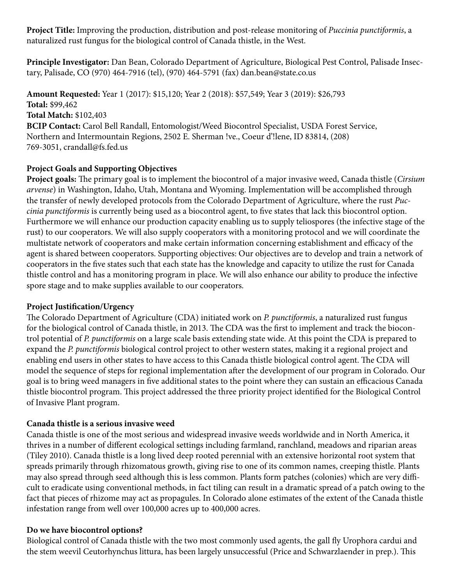**Project Title:** Improving the production, distribution and post-release monitoring of *Puccinia punctiformis*, a naturalized rust fungus for the biological control of Canada thistle, in the West.

**Principle Investigator:** Dan Bean, Colorado Department of Agriculture, Biological Pest Control, Palisade Insectary, Palisade, CO (970) 464-7916 (tel), (970) 464-5791 (fax) dan.bean@state.co.us

**Amount Requested:** Year 1 (2017): \$15,120; Year 2 (2018): \$57,549; Year 3 (2019): \$26,793 **Total:** \$99,462 **Total Match:** \$102,403 **BCIP Contact:** Carol Bell Randall, Entomologist/Weed Biocontrol Specialist, USDA Forest Service, Northern and Intermountain Regions, 2502 E. Sherman !ve., Coeur d'!lene, ID 83814, (208) 769-3051, crandall@fs.fed.us

### **Project Goals and Supporting Objectives**

**Project goals:** The primary goal is to implement the biocontrol of a major invasive weed, Canada thistle (*Cirsium arvense*) in Washington, Idaho, Utah, Montana and Wyoming. Implementation will be accomplished through the transfer of newly developed protocols from the Colorado Department of Agriculture, where the rust *Puccinia punctiformis* is currently being used as a biocontrol agent, to five states that lack this biocontrol option. Furthermore we will enhance our production capacity enabling us to supply teliospores (the infective stage of the rust) to our cooperators. We will also supply cooperators with a monitoring protocol and we will coordinate the multistate network of cooperators and make certain information concerning establishment and efficacy of the agent is shared between cooperators. Supporting objectives: Our objectives are to develop and train a network of cooperators in the five states such that each state has the knowledge and capacity to utilize the rust for Canada thistle control and has a monitoring program in place. We will also enhance our ability to produce the infective spore stage and to make supplies available to our cooperators.

### **Project Justification/Urgency**

The Colorado Department of Agriculture (CDA) initiated work on *P. punctiformis*, a naturalized rust fungus for the biological control of Canada thistle, in 2013. The CDA was the first to implement and track the biocontrol potential of *P. punctiformis* on a large scale basis extending state wide. At this point the CDA is prepared to expand the *P. punctiformis* biological control project to other western states, making it a regional project and enabling end users in other states to have access to this Canada thistle biological control agent. The CDA will model the sequence of steps for regional implementation after the development of our program in Colorado. Our goal is to bring weed managers in five additional states to the point where they can sustain an efficacious Canada thistle biocontrol program. This project addressed the three priority project identified for the Biological Control of Invasive Plant program.

### **Canada thistle is a serious invasive weed**

Canada thistle is one of the most serious and widespread invasive weeds worldwide and in North America, it thrives in a number of different ecological settings including farmland, ranchland, meadows and riparian areas (Tiley 2010). Canada thistle is a long lived deep rooted perennial with an extensive horizontal root system that spreads primarily through rhizomatous growth, giving rise to one of its common names, creeping thistle. Plants may also spread through seed although this is less common. Plants form patches (colonies) which are very difficult to eradicate using conventional methods, in fact tiling can result in a dramatic spread of a patch owing to the fact that pieces of rhizome may act as propagules. In Colorado alone estimates of the extent of the Canada thistle infestation range from well over 100,000 acres up to 400,000 acres.

### **Do we have biocontrol options?**

Biological control of Canada thistle with the two most commonly used agents, the gall fly Urophora cardui and the stem weevil Ceutorhynchus littura, has been largely unsuccessful (Price and Schwarzlaender in prep.). This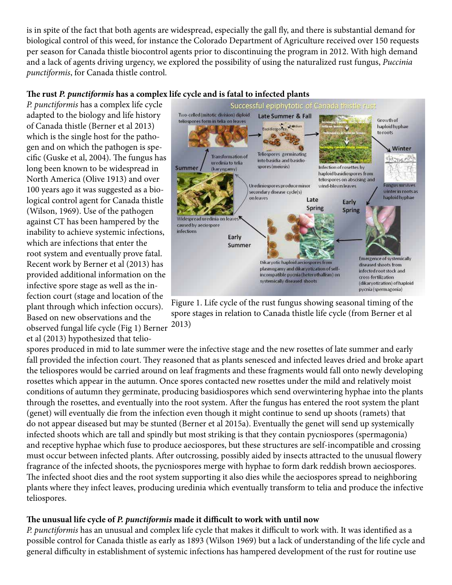is in spite of the fact that both agents are widespread, especially the gall fly, and there is substantial demand for biological control of this weed, for instance the Colorado Department of Agriculture received over 150 requests per season for Canada thistle biocontrol agents prior to discontinuing the program in 2012. With high demand and a lack of agents driving urgency, we explored the possibility of using the naturalized rust fungus, *Puccinia punctiformis*, for Canada thistle control.

### **The rust** *P. punctiformis* **has a complex life cycle and is fatal to infected plants**

*P. punctiformis* has a complex life cycle adapted to the biology and life history of Canada thistle (Berner et al 2013) which is the single host for the pathogen and on which the pathogen is specific (Guske et al, 2004). The fungus has long been known to be widespread in North America (Olive 1913) and over 100 years ago it was suggested as a biological control agent for Canada thistle (Wilson, 1969). Use of the pathogen against CT has been hampered by the inability to achieve systemic infections, which are infections that enter the root system and eventually prove fatal. Recent work by Berner et al (2013) has provided additional information on the infective spore stage as well as the infection court (stage and location of the plant through which infection occurs). Based on new observations and the observed fungal life cycle (Fig 1) Berner et al (2013) hypothesized that telio-



Figure 1. Life cycle of the rust fungus showing seasonal timing of the spore stages in relation to Canada thistle life cycle (from Berner et al 2013)

spores produced in mid to late summer were the infective stage and the new rosettes of late summer and early fall provided the infection court. They reasoned that as plants senesced and infected leaves dried and broke apart the teliospores would be carried around on leaf fragments and these fragments would fall onto newly developing rosettes which appear in the autumn. Once spores contacted new rosettes under the mild and relatively moist conditions of autumn they germinate, producing basidiospores which send overwintering hyphae into the plants through the rosettes, and eventually into the root system. After the fungus has entered the root system the plant (genet) will eventually die from the infection even though it might continue to send up shoots (ramets) that do not appear diseased but may be stunted (Berner et al 2015a). Eventually the genet will send up systemically infected shoots which are tall and spindly but most striking is that they contain pycniospores (spermagonia) and receptive hyphae which fuse to produce aeciospores, but these structures are self-incompatible and crossing must occur between infected plants. After outcrossing, possibly aided by insects attracted to the unusual flowery fragrance of the infected shoots, the pycniospores merge with hyphae to form dark reddish brown aeciospores. The infected shoot dies and the root system supporting it also dies while the aeciospores spread to neighboring plants where they infect leaves, producing uredinia which eventually transform to telia and produce the infective teliospores.

### **The unusual life cycle of** *P. punctiformis* **made it difficult to work with until now**

*P. punctiformis* has an unusual and complex life cycle that makes it difficult to work with. It was identified as a possible control for Canada thistle as early as 1893 (Wilson 1969) but a lack of understanding of the life cycle and general difficulty in establishment of systemic infections has hampered development of the rust for routine use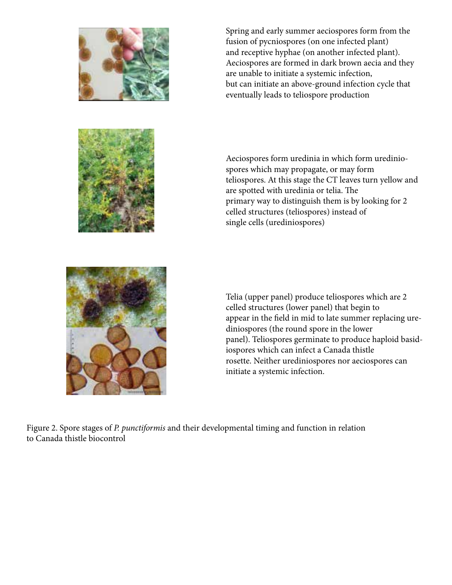

Spring and early summer aeciospores form from the fusion of pycniospores (on one infected plant) and receptive hyphae (on another infected plant). Aeciospores are formed in dark brown aecia and they are unable to initiate a systemic infection, but can initiate an above-ground infection cycle that eventually leads to teliospore production

Aeciospores form uredinia in which form urediniospores which may propagate, or may form teliospores. At this stage the CT leaves turn yellow and are spotted with uredinia or telia. The primary way to distinguish them is by looking for 2 celled structures (teliospores) instead of single cells (urediniospores)



Telia (upper panel) produce teliospores which are 2 celled structures (lower panel) that begin to appear in the field in mid to late summer replacing urediniospores (the round spore in the lower panel). Teliospores germinate to produce haploid basidiospores which can infect a Canada thistle rosette. Neither urediniospores nor aeciospores can initiate a systemic infection.

Figure 2. Spore stages of *P. punctiformis* and their developmental timing and function in relation to Canada thistle biocontrol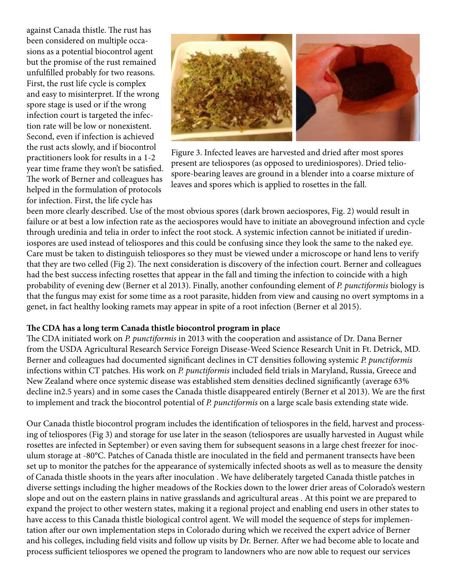against Canada thistle. The rust has been considered on multiple occasions as a potential biocontrol agent but the promise of the rust remained unfulfilled probably for two reasons. First, the rust life cycle is complex and easy to misinterpret. If the wrong spore stage is used or if the wrong infection court is targeted the infection rate will be low or nonexistent. Second, even if infection is achieved the rust acts slowly, and if biocontrol practitioners look for results in a 1-2 year time frame they won't be satisfied. The work of Berner and colleagues has helped in the formulation of protocols for infection. First, the life cycle has



Figure 3. Infected leaves are harvested and dried after most spores present are teliospores (as opposed to urediniospores). Dried teliospore-bearing leaves are ground in a blender into a coarse mixture of leaves and spores which is applied to rosettes in the fall.

been more clearly described. Use of the most obvious spores (dark brown aeciospores, Fig. 2) would result in failure or at best a low infection rate as the aeciospores would have to initiate an aboveground infection and cycle through uredinia and telia in order to infect the root stock. A systemic infection cannot be initiated if urediniospores are used instead of teliospores and this could be confusing since they look the same to the naked eye. Care must be taken to distinguish teliospores so they must be viewed under a microscope or hand lens to verify that they are two celled (Fig 2). The next consideration is discovery of the infection court. Berner and colleagues had the best success infecting rosettes that appear in the fall and timing the infection to coincide with a high probability of evening dew (Berner et al 2013). Finally, another confounding element of *P. punctiformis* biology is that the fungus may exist for some time as a root parasite, hidden from view and causing no overt symptoms in a genet, in fact healthy looking ramets may appear in spite of a root infection (Berner et al 2015).

#### **The CDA has a long term Canada thistle biocontrol program in place**

The CDA initiated work on *P. punctiformis* in 2013 with the cooperation and assistance of Dr. Dana Berner from the USDA Agricultural Research Service Foreign Disease-Weed Science Research Unit in Ft. Detrick, MD. Berner and colleagues had documented significant declines in CT densities following systemic *P. punctiformis* infections within CT patches. His work on *P. punctiformis* included field trials in Maryland, Russia, Greece and New Zealand where once systemic disease was established stem densities declined significantly (average 63% decline in2.5 years) and in some cases the Canada thistle disappeared entirely (Berner et al 2013). We are the first to implement and track the biocontrol potential of *P. punctiformis* on a large scale basis extending state wide.

Our Canada thistle biocontrol program includes the identification of teliospores in the field, harvest and processing of teliospores (Fig 3) and storage for use later in the season (teliospores are usually harvested in August while rosettes are infected in September) or even saving them for subsequent seasons in a large chest freezer for inoculum storage at -80°C. Patches of Canada thistle are inoculated in the field and permanent transects have been set up to monitor the patches for the appearance of systemically infected shoots as well as to measure the density of Canada thistle shoots in the years after inoculation . We have deliberately targeted Canada thistle patches in diverse settings including the higher meadows of the Rockies down to the lower drier areas of Colorado's western slope and out on the eastern plains in native grasslands and agricultural areas . At this point we are prepared to expand the project to other western states, making it a regional project and enabling end users in other states to have access to this Canada thistle biological control agent. We will model the sequence of steps for implementation after our own implementation steps in Colorado during which we received the expert advice of Berner and his colleges, including field visits and follow up visits by Dr. Berner. After we had become able to locate and process sufficient teliospores we opened the program to landowners who are now able to request our services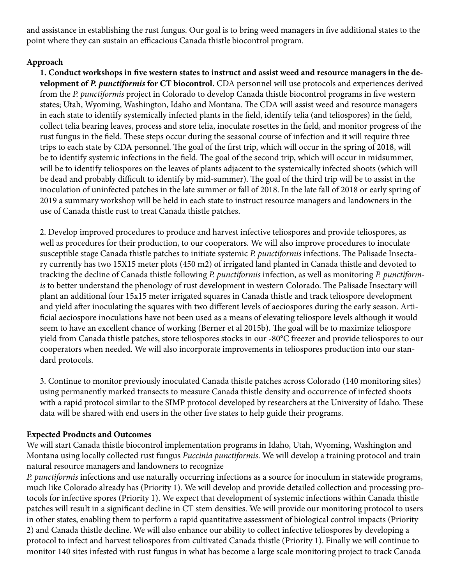and assistance in establishing the rust fungus. Our goal is to bring weed managers in five additional states to the point where they can sustain an efficacious Canada thistle biocontrol program.

### **Approach**

**1. Conduct workshops in five western states to instruct and assist weed and resource managers in the development of** *P. punctiformis* **for CT biocontrol.** CDA personnel will use protocols and experiences derived from the *P. punctiformis* project in Colorado to develop Canada thistle biocontrol programs in five western states; Utah, Wyoming, Washington, Idaho and Montana. The CDA will assist weed and resource managers in each state to identify systemically infected plants in the field, identify telia (and teliospores) in the field, collect telia bearing leaves, process and store telia, inoculate rosettes in the field, and monitor progress of the rust fungus in the field. These steps occur during the seasonal course of infection and it will require three trips to each state by CDA personnel. The goal of the first trip, which will occur in the spring of 2018, will be to identify systemic infections in the field. The goal of the second trip, which will occur in midsummer, will be to identify teliospores on the leaves of plants adjacent to the systemically infected shoots (which will be dead and probably difficult to identify by mid-summer). The goal of the third trip will be to assist in the inoculation of uninfected patches in the late summer or fall of 2018. In the late fall of 2018 or early spring of 2019 a summary workshop will be held in each state to instruct resource managers and landowners in the use of Canada thistle rust to treat Canada thistle patches.

2. Develop improved procedures to produce and harvest infective teliospores and provide teliospores, as well as procedures for their production, to our cooperators. We will also improve procedures to inoculate susceptible stage Canada thistle patches to initiate systemic *P. punctiformis* infections. The Palisade Insectary currently has two 15X15 meter plots (450 m2) of irrigated land planted in Canada thistle and devoted to tracking the decline of Canada thistle following *P. punctiformis* infection, as well as monitoring *P. punctiformis* to better understand the phenology of rust development in western Colorado. The Palisade Insectary will plant an additional four 15x15 meter irrigated squares in Canada thistle and track teliospore development and yield after inoculating the squares with two different levels of aeciospores during the early season. Artificial aeciospore inoculations have not been used as a means of elevating teliospore levels although it would seem to have an excellent chance of working (Berner et al 2015b). The goal will be to maximize teliospore yield from Canada thistle patches, store teliospores stocks in our -80°C freezer and provide teliospores to our cooperators when needed. We will also incorporate improvements in teliospores production into our standard protocols.

3. Continue to monitor previously inoculated Canada thistle patches across Colorado (140 monitoring sites) using permanently marked transects to measure Canada thistle density and occurrence of infected shoots with a rapid protocol similar to the SIMP protocol developed by researchers at the University of Idaho. These data will be shared with end users in the other five states to help guide their programs.

# **Expected Products and Outcomes**

We will start Canada thistle biocontrol implementation programs in Idaho, Utah, Wyoming, Washington and Montana using locally collected rust fungus *Puccinia punctiformis*. We will develop a training protocol and train natural resource managers and landowners to recognize

*P. punctiformis* infections and use naturally occurring infections as a source for inoculum in statewide programs, much like Colorado already has (Priority 1). We will develop and provide detailed collection and processing protocols for infective spores (Priority 1). We expect that development of systemic infections within Canada thistle patches will result in a significant decline in CT stem densities. We will provide our monitoring protocol to users in other states, enabling them to perform a rapid quantitative assessment of biological control impacts (Priority 2) and Canada thistle decline. We will also enhance our ability to collect infective teliospores by developing a protocol to infect and harvest teliospores from cultivated Canada thistle (Priority 1). Finally we will continue to monitor 140 sites infested with rust fungus in what has become a large scale monitoring project to track Canada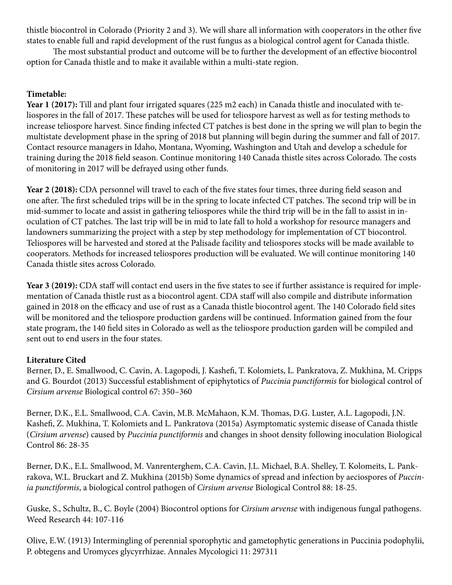thistle biocontrol in Colorado (Priority 2 and 3). We will share all information with cooperators in the other five states to enable full and rapid development of the rust fungus as a biological control agent for Canada thistle.

The most substantial product and outcome will be to further the development of an effective biocontrol option for Canada thistle and to make it available within a multi-state region.

# **Timetable:**

**Year 1 (2017):** Till and plant four irrigated squares (225 m2 each) in Canada thistle and inoculated with teliospores in the fall of 2017. These patches will be used for teliospore harvest as well as for testing methods to increase teliospore harvest. Since finding infected CT patches is best done in the spring we will plan to begin the multistate development phase in the spring of 2018 but planning will begin during the summer and fall of 2017. Contact resource managers in Idaho, Montana, Wyoming, Washington and Utah and develop a schedule for training during the 2018 field season. Continue monitoring 140 Canada thistle sites across Colorado. The costs of monitoring in 2017 will be defrayed using other funds.

Year 2 (2018): CDA personnel will travel to each of the five states four times, three during field season and one after. The first scheduled trips will be in the spring to locate infected CT patches. The second trip will be in mid-summer to locate and assist in gathering teliospores while the third trip will be in the fall to assist in inoculation of CT patches. The last trip will be in mid to late fall to hold a workshop for resource managers and landowners summarizing the project with a step by step methodology for implementation of CT biocontrol. Teliospores will be harvested and stored at the Palisade facility and teliospores stocks will be made available to cooperators. Methods for increased teliospores production will be evaluated. We will continue monitoring 140 Canada thistle sites across Colorado.

Year 3 (2019): CDA staff will contact end users in the five states to see if further assistance is required for implementation of Canada thistle rust as a biocontrol agent. CDA staff will also compile and distribute information gained in 2018 on the efficacy and use of rust as a Canada thistle biocontrol agent. The 140 Colorado field sites will be monitored and the teliospore production gardens will be continued. Information gained from the four state program, the 140 field sites in Colorado as well as the teliospore production garden will be compiled and sent out to end users in the four states.

# **Literature Cited**

Berner, D., E. Smallwood, C. Cavin, A. Lagopodi, J. Kashefi, T. Kolomiets, L. Pankratova, Z. Mukhina, M. Cripps and G. Bourdot (2013) Successful establishment of epiphytotics of *Puccinia punctiformis* for biological control of *Cirsium arvense* Biological control 67: 350–360

Berner, D.K., E.L. Smallwood, C.A. Cavin, M.B. McMahaon, K.M. Thomas, D.G. Luster, A.L. Lagopodi, J.N. Kashefi, Z. Mukhina, T. Kolomiets and L. Pankratova (2015a) Asymptomatic systemic disease of Canada thistle (*Cirsium arvense*) caused by *Puccinia punctiformis* and changes in shoot density following inoculation Biological Control 86: 28-35

Berner, D.K., E.L. Smallwood, M. Vanrenterghem, C.A. Cavin, J.L. Michael, B.A. Shelley, T. Kolomeits, L. Pankrakova, W.L. Bruckart and Z. Mukhina (2015b) Some dynamics of spread and infection by aeciospores of *Puccinia punctiformis*, a biological control pathogen of *Cirsium arvense* Biological Control 88: 18-25.

Guske, S., Schultz, B., C. Boyle (2004) Biocontrol options for *Cirsium arvense* with indigenous fungal pathogens. Weed Research 44: 107-116

Olive, E.W. (1913) Intermingling of perennial sporophytic and gametophytic generations in Puccinia podophylii, P. obtegens and Uromyces glycyrrhizae. Annales Mycologici 11: 297311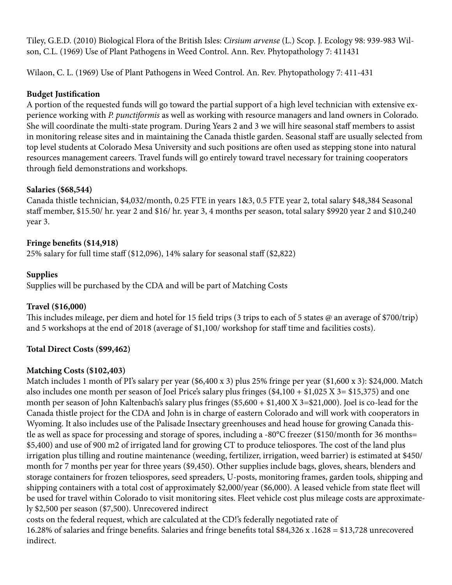Tiley, G.E.D. (2010) Biological Flora of the British Isles: *Cirsium arvense* (L.) Scop. J. Ecology 98: 939-983 Wilson, C.L. (1969) Use of Plant Pathogens in Weed Control. Ann. Rev. Phytopathology 7: 411431

Wilaon, C. L. (1969) Use of Plant Pathogens in Weed Control. An. Rev. Phytopathology 7: 411-431

### **Budget Justification**

A portion of the requested funds will go toward the partial support of a high level technician with extensive experience working with *P. punctiformis* as well as working with resource managers and land owners in Colorado. She will coordinate the multi-state program. During Years 2 and 3 we will hire seasonal staff members to assist in monitoring release sites and in maintaining the Canada thistle garden. Seasonal staff are usually selected from top level students at Colorado Mesa University and such positions are often used as stepping stone into natural resources management careers. Travel funds will go entirely toward travel necessary for training cooperators through field demonstrations and workshops.

### **Salaries (\$68,544)**

Canada thistle technician, \$4,032/month, 0.25 FTE in years 1&3, 0.5 FTE year 2, total salary \$48,384 Seasonal staff member, \$15.50/ hr. year 2 and \$16/ hr. year 3, 4 months per season, total salary \$9920 year 2 and \$10,240 year 3.

### **Fringe benefits (\$14,918)**

25% salary for full time staff (\$12,096), 14% salary for seasonal staff (\$2,822)

### **Supplies**

Supplies will be purchased by the CDA and will be part of Matching Costs

### **Travel (\$16,000)**

This includes mileage, per diem and hotel for 15 field trips (3 trips to each of 5 states @ an average of \$700/trip) and 5 workshops at the end of 2018 (average of \$1,100/ workshop for staff time and facilities costs).

# **Total Direct Costs (\$99,462)**

### **Matching Costs (\$102,403)**

Match includes 1 month of PI's salary per year (\$6,400 x 3) plus 25% fringe per year (\$1,600 x 3): \$24,000. Match also includes one month per season of Joel Price's salary plus fringes  $(\$4,100 + \$1,025 X 3 = \$15,375)$  and one month per season of John Kaltenbach's salary plus fringes (\$5,600 + \$1,400 X 3=\$21,000). Joel is co-lead for the Canada thistle project for the CDA and John is in charge of eastern Colorado and will work with cooperators in Wyoming. It also includes use of the Palisade Insectary greenhouses and head house for growing Canada thistle as well as space for processing and storage of spores, including a -80°C freezer (\$150/month for 36 months= \$5,400) and use of 900 m2 of irrigated land for growing CT to produce teliospores. The cost of the land plus irrigation plus tilling and routine maintenance (weeding, fertilizer, irrigation, weed barrier) is estimated at \$450/ month for 7 months per year for three years (\$9,450). Other supplies include bags, gloves, shears, blenders and storage containers for frozen teliospores, seed spreaders, U-posts, monitoring frames, garden tools, shipping and shipping containers with a total cost of approximately \$2,000/year (\$6,000). A leased vehicle from state fleet will be used for travel within Colorado to visit monitoring sites. Fleet vehicle cost plus mileage costs are approximately \$2,500 per season (\$7,500). Unrecovered indirect

costs on the federal request, which are calculated at the CD!'s federally negotiated rate of 16.28% of salaries and fringe benefits. Salaries and fringe benefits total \$84,326 x .1628 = \$13,728 unrecovered indirect.